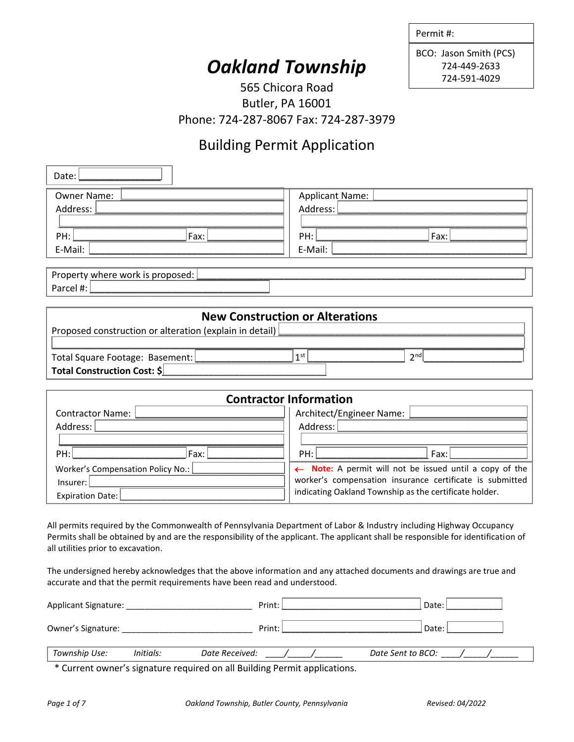| Permit #: |  |  |
|-----------|--|--|
|-----------|--|--|

BCO: Jason Smith (PCS) 724-449-2633 724-591-4029

# *Oakland Township*

565 Chicora Road Butler, PA 16001 Phone: 724-287-8067 Fax: 724-287-3979

# Building Permit Application

| Date:                                                   |                                                         |
|---------------------------------------------------------|---------------------------------------------------------|
| Owner Name:                                             | Applicant Name:                                         |
| Address:                                                | Address:                                                |
|                                                         |                                                         |
| PH:<br>Fax:                                             | PH:<br>Fax:                                             |
| E-Mail:                                                 | E-Mail:                                                 |
| Property where work is proposed:                        |                                                         |
| Parcel #:                                               |                                                         |
|                                                         |                                                         |
|                                                         | <b>New Construction or Alterations</b>                  |
| Proposed construction or alteration (explain in detail) |                                                         |
|                                                         |                                                         |
| Total Square Footage: Basement:                         | 1 <sup>st</sup><br>2 <sub>nd</sub>                      |
| Total Construction Cost: \$                             |                                                         |
|                                                         |                                                         |
|                                                         | <b>Contractor Information</b>                           |
| <b>Contractor Name:</b>                                 | Architect/Engineer Name:                                |
| Address:<br>Address:                                    |                                                         |
|                                                         |                                                         |
| PH:<br>Fax:                                             | PH:<br>Fax:                                             |
| Worker's Compensation Policy No.:                       | ← Note: A permit will not be issued until a copy of the |

All permits required by the Commonwealth of Pennsylvania Department of Labor & Industry including Highway Occupancy Permits shall be obtained by and are the responsibility of the applicant. The applicant shall be responsible for identification of all utilities prior to excavation.

The undersigned hereby acknowledges that the above information and any attached documents and drawings are true and accurate and that the permit requirements have been read and understood.

| Applicant Signature: |           | Print:         | Date:             |  |
|----------------------|-----------|----------------|-------------------|--|
| Owner's Signature:   |           | Print:         | Date:             |  |
| Township Use:        | Initials: | Date Received: | Date Sent to BCO: |  |

\* Current owner's signature required on all Building Permit applications.

Insurer:

Expiration Date:

worker's compensation insurance certificate is submitted indicating Oakland Township as the certificate holder.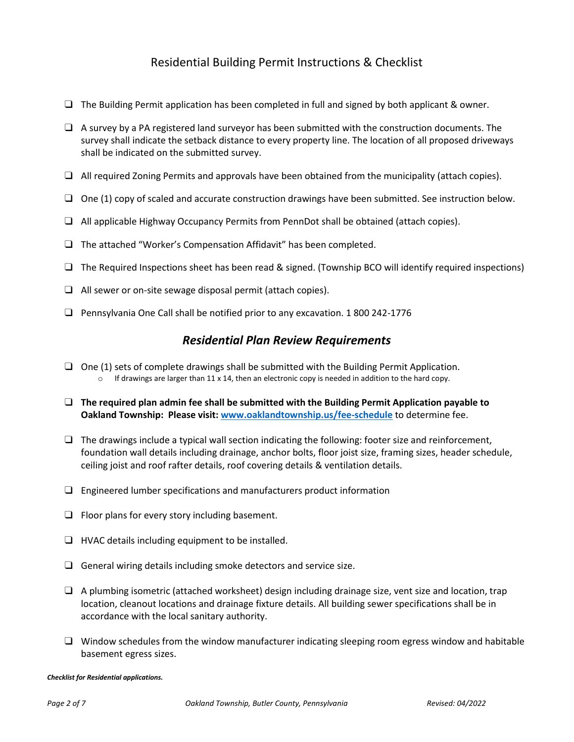### Residential Building Permit Instructions & Checklist

- $\Box$  The Building Permit application has been completed in full and signed by both applicant & owner.
- $\Box$  A survey by a PA registered land surveyor has been submitted with the construction documents. The survey shall indicate the setback distance to every property line. The location of all proposed driveways shall be indicated on the submitted survey.
- $\Box$  All required Zoning Permits and approvals have been obtained from the municipality (attach copies).
- $\Box$  One (1) copy of scaled and accurate construction drawings have been submitted. See instruction below.
- $|\Box|$  All applicable Highway Occupancy Permits from PennDot shall be obtained (attach copies).
- ❑ The attached "Worker's Compensation Affidavit" has been completed.
- $\Box$  The Required Inspections sheet has been read & signed. (Township BCO will identify required inspections)
- $|\Box|$  All sewer or on-site sewage disposal permit (attach copies).
- $|\Box|$  Pennsylvania One Call shall be notified prior to any excavation. 1800 242-1776

### *Residential Plan Review Requirements*

- $\Box$  One (1) sets of complete drawings shall be submitted with the Building Permit Application.  $\circ$  If drawings are larger than 11 x 14, then an electronic copy is needed in addition to the hard copy.
- ❑ **The required plan admin fee shall be submitted with the Building Permit Application payable to Oakland Township: Please visit[: www.oaklandtownship.us/fee-schedule](file:///C:/Users/Oakland%20Twp/Documents/Permits/Forms/www.oaklandtownship.us/fee-schedule)** to determine fee.
- $\Box$  The drawings include a typical wall section indicating the following: footer size and reinforcement, foundation wall details including drainage, anchor bolts, floor joist size, framing sizes, header schedule, ceiling joist and roof rafter details, roof covering details & ventilation details.
- $\Box$  Engineered lumber specifications and manufacturers product information
- $\Box$  Floor plans for every story including basement.
- $\boxed{\square}$  HVAC details including equipment to be installed.
- $\Box$  General wiring details including smoke detectors and service size.
- $|\Box|$  A plumbing isometric (attached worksheet) design including drainage size, vent size and location, trap location, cleanout locations and drainage fixture details. All building sewer specifications shall be in accordance with the local sanitary authority.
- $\Box$  Window schedules from the window manufacturer indicating sleeping room egress window and habitable basement egress sizes.

#### *Checklist for Residential applications.*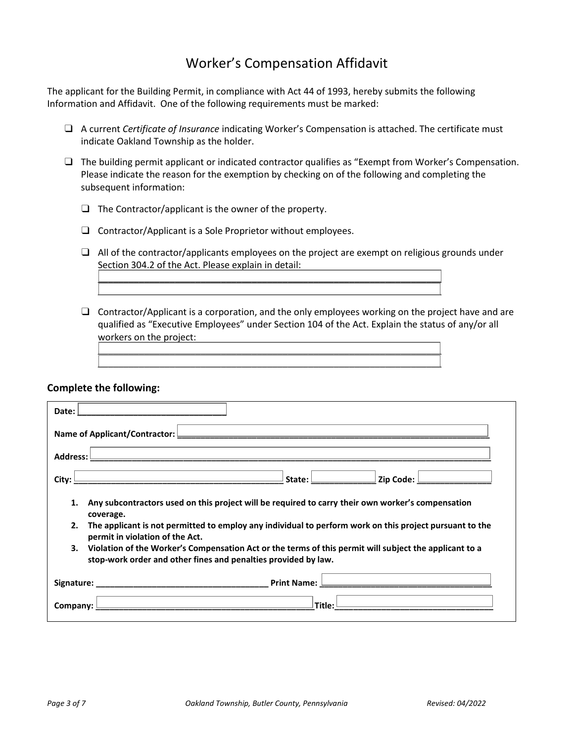### Worker's Compensation Affidavit

The applicant for the Building Permit, in compliance with Act 44 of 1993, hereby submits the following Information and Affidavit. One of the following requirements must be marked:

| $\Box$ A current Certificate of Insurance indicating Worker's Compensation is attached. The certificate must |
|--------------------------------------------------------------------------------------------------------------|
| indicate Oakland Township as the holder.                                                                     |

 $\Box$  The building permit applicant or indicated contractor qualifies as "Exempt from Worker's Compensation. Please indicate the reason for the exemption by checking on of the following and completing the subsequent information:

 $\Box$  The Contractor/applicant is the owner of the property.

 $\Box$  Contractor/Applicant is a Sole Proprietor without employees.

 $\Box$  All of the contractor/applicants employees on the project are exempt on religious grounds under Section 304.2 of the Act. Please explain in detail:

 $\overline{\phantom{a}}$  , and the contribution of the contribution of the contribution of the contribution of the contribution of the contribution of the contribution of the contribution of the contribution of the contribution of the \_\_\_\_\_\_\_\_\_\_\_\_\_\_\_\_\_\_\_\_\_\_\_\_\_\_\_\_\_\_\_\_\_\_\_\_\_\_\_\_\_\_\_\_\_\_\_\_\_\_\_\_\_\_\_\_\_\_\_\_\_\_\_\_\_\_\_

\_\_\_\_\_\_\_\_\_\_\_\_\_\_\_\_\_\_\_\_\_\_\_\_\_\_\_\_\_\_\_\_\_\_\_\_\_\_\_\_\_\_\_\_\_\_\_\_\_\_\_\_\_\_\_\_\_\_\_\_\_\_\_\_\_\_\_ \_\_\_\_\_\_\_\_\_\_\_\_\_\_\_\_\_\_\_\_\_\_\_\_\_\_\_\_\_\_\_\_\_\_\_\_\_\_\_\_\_\_\_\_\_\_\_\_\_\_\_\_\_\_\_\_\_\_\_\_\_\_\_\_\_\_\_

 $\Box$  Contractor/Applicant is a corporation, and the only employees working on the project have and are qualified as "Executive Employees" under Section 104 of the Act. Explain the status of any/or all workers on the project:

#### **Complete the following:**

|                                                                                                                                                                                | Date:      |  |
|--------------------------------------------------------------------------------------------------------------------------------------------------------------------------------|------------|--|
|                                                                                                                                                                                |            |  |
|                                                                                                                                                                                | Address: L |  |
| $\hspace{0.1cm}$ 2ip Code: $\hspace{0.1cm}$ $\hspace{0.1cm}$ 2ip Code: $\hspace{0.1cm}$<br>State: l                                                                            | City: I    |  |
| Any subcontractors used on this project will be required to carry their own worker's compensation<br>1.<br>coverage.                                                           |            |  |
| The applicant is not permitted to employ any individual to perform work on this project pursuant to the<br>2.<br>permit in violation of the Act.                               |            |  |
| Violation of the Worker's Compensation Act or the terms of this permit will subject the applicant to a<br>3.<br>stop-work order and other fines and penalties provided by law. |            |  |
| <u> 1989 - Johann Barbara, martxa al III-lea (h. 1989).</u>                                                                                                                    |            |  |
| <u> 1989 - Johann Barn, fransk politik (</u><br>the control of the control of the control of the control of the control of the control of<br>Title:<br>Company:                |            |  |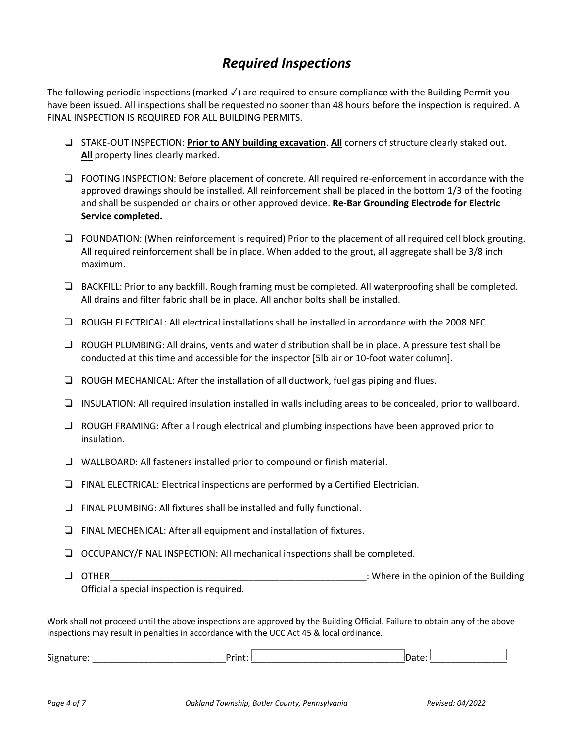### *Required Inspections*

The following periodic inspections (marked √) are required to ensure compliance with the Building Permit you have been issued. All inspections shall be requested no sooner than 48 hours before the inspection is required. A FINAL INSPECTION IS REQUIRED FOR ALL BUILDING PERMITS.

- ❑ STAKE-OUT INSPECTION: **Prior to ANY building excavation**. **All** corners of structure clearly staked out. **All** property lines clearly marked.
- ❑ FOOTING INSPECTION: Before placement of concrete. All required re-enforcement in accordance with the approved drawings should be installed. All reinforcement shall be placed in the bottom 1/3 of the footing and shall be suspended on chairs or other approved device. **Re-Bar Grounding Electrode for Electric Service completed.**
- ❑ FOUNDATION: (When reinforcement is required) Prior to the placement of all required cell block grouting. All required reinforcement shall be in place. When added to the grout, all aggregate shall be 3/8 inch maximum.
- ❑ BACKFILL: Prior to any backfill. Rough framing must be completed. All waterproofing shall be completed. All drains and filter fabric shall be in place. All anchor bolts shall be installed.
- ❑ ROUGH ELECTRICAL: All electrical installations shall be installed in accordance with the 2008 NEC.
- ❑ ROUGH PLUMBING: All drains, vents and water distribution shall be in place. A pressure test shall be conducted at this time and accessible for the inspector [5lb air or 10-foot water column].
- ❑ ROUGH MECHANICAL: After the installation of all ductwork, fuel gas piping and flues.
- ❑ INSULATION: All required insulation installed in walls including areas to be concealed, prior to wallboard.
- ❑ ROUGH FRAMING: After all rough electrical and plumbing inspections have been approved prior to insulation.
- ❑ WALLBOARD: All fasteners installed prior to compound or finish material.
- ❑ FINAL ELECTRICAL: Electrical inspections are performed by a Certified Electrician.
- ❑ FINAL PLUMBING: All fixtures shall be installed and fully functional.
- ❑ FINAL MECHENICAL: After all equipment and installation of fixtures.
- ❑ OCCUPANCY/FINAL INSPECTION: All mechanical inspections shall be completed.
- ❑ OTHER\_\_\_\_\_\_\_\_\_\_\_\_\_\_\_\_\_\_\_\_\_\_\_\_\_\_\_\_\_\_\_\_\_\_\_\_\_\_\_\_\_\_\_\_\_\_\_\_\_\_: Where in the opinion of the Building Official a special inspection is required.

Work shall not proceed until the above inspections are approved by the Building Official. Failure to obtain any of the above inspections may result in penalties in accordance with the UCC Act 45 & local ordinance.

| $\sim$<br>Sigr<br>rmu. |  |  |  |  |
|------------------------|--|--|--|--|
|------------------------|--|--|--|--|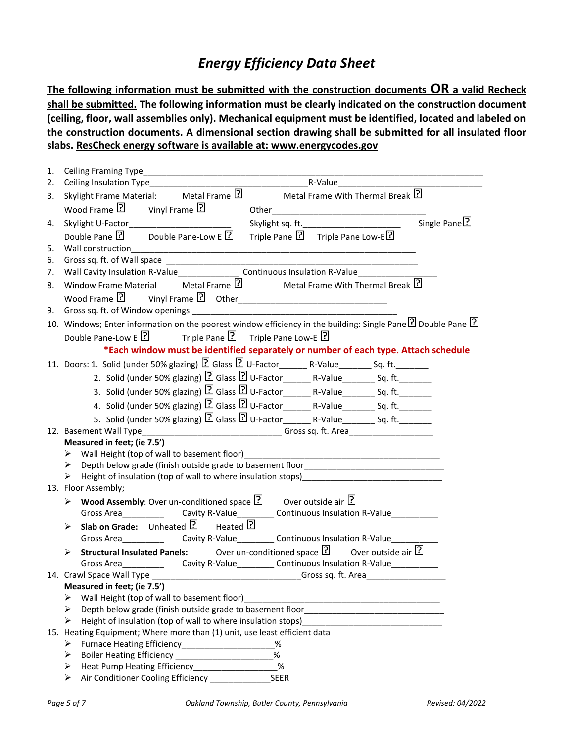### *Energy Efficiency Data Sheet*

**The following information must be submitted with the construction documents OR a valid Recheck shall be submitted. The following information must be clearly indicated on the construction document (ceiling, floor, wall assemblies only). Mechanical equipment must be identified, located and labeled on the construction documents. A dimensional section drawing shall be submitted for all insulated floor slabs. ResCheck energy software is available at: www.energycodes.gov**

| 1. |                                                                                                                                                                                                                                     |
|----|-------------------------------------------------------------------------------------------------------------------------------------------------------------------------------------------------------------------------------------|
| 2. |                                                                                                                                                                                                                                     |
| 3. | Skylight Frame Material: Metal Frame 2 Metal Frame With Thermal Break 2                                                                                                                                                             |
|    | Wood Frame $\boxed{?}$ Vinyl Frame $\boxed{?}$                                                                                                                                                                                      |
| 4. | Single Pane <sup>[?]</sup><br>Skylight U-Factor_____________________________                                                                                                                                                        |
|    | Triple Pane ? Triple Pane Low-E<br>Double Pane $\boxed{?}$ Double Pane-Low E $\boxed{?}$                                                                                                                                            |
| 5. |                                                                                                                                                                                                                                     |
| 6. |                                                                                                                                                                                                                                     |
| 7. | Wall Cavity Insulation R-Value________________________Continuous Insulation R-Value________________                                                                                                                                 |
| 8. | Window Frame Material Metal Frame <b>P</b> Metal Frame With Thermal Break <sup>?</sup>                                                                                                                                              |
|    |                                                                                                                                                                                                                                     |
|    |                                                                                                                                                                                                                                     |
|    | 10. Windows; Enter information on the poorest window efficiency in the building: Single Pane 2 Double Pane 2                                                                                                                        |
|    | Double Pane-Low E $\boxed{?}$ Triple Pane $\boxed{?}$ Triple Pane Low-E $\boxed{?}$                                                                                                                                                 |
|    | *Each window must be identified separately or number of each type. Attach schedule                                                                                                                                                  |
|    |                                                                                                                                                                                                                                     |
|    | 2. Solid (under 50% glazing) 2 Glass 2 U-Factor__________________________________ Sq. ft.___________                                                                                                                                |
|    |                                                                                                                                                                                                                                     |
|    | 4. Solid (under 50% glazing) $\boxed{2}$ Glass $\boxed{2}$ U-Factor_______R-Value_________Sq. ft._________                                                                                                                          |
|    | 5. Solid (under 50% glazing) $\boxed{?}$ Glass $\boxed{?}$ U-Factor_______R-Value________Sq. ft.________                                                                                                                            |
|    |                                                                                                                                                                                                                                     |
|    | Measured in feet; (ie 7.5')                                                                                                                                                                                                         |
|    |                                                                                                                                                                                                                                     |
|    | Depth below grade (finish outside grade to basement floor________________________<br>≻                                                                                                                                              |
|    | Height of insulation (top of wall to where insulation stops) [19] The store of the store of the store of the store of the store of the store of the store of the store of the store of the store of the store of the store of<br>➤  |
|    | 13. Floor Assembly;                                                                                                                                                                                                                 |
|    | > Wood Assembly: Over un-conditioned space $\boxed{?}$ Over outside air $\boxed{?}$                                                                                                                                                 |
|    | Gross Area_________________Cavity R-Value____________Continuous Insulation R-Value_________________                                                                                                                                 |
|    | > Slab on Grade: Unheated $\boxed{?}$ Heated $\boxed{?}$                                                                                                                                                                            |
|    |                                                                                                                                                                                                                                     |
|    | <b>Structural Insulated Panels:</b> Over un-conditioned space $\boxed{?}$ Over outside air $\boxed{?}$                                                                                                                              |
|    | Gross Area _______________________Cavity R-Value ______________Continuous Insulation R-Value _____________                                                                                                                          |
|    | 14. Crawl Space Wall Type __________________________________Gross sq. ft. Area_____________________<br>Measured in feet; (ie 7.5')                                                                                                  |
|    | Wall Height (top of wall to basement floor)<br>➤                                                                                                                                                                                    |
|    | Depth below grade (finish outside grade to basement floor entries and contact the state of the state of the state of the state of the state of the state of the state of the state of the state of the state of the state of t<br>➤ |
|    | Height of insulation (top of wall to where insulation stops)<br>⋗                                                                                                                                                                   |
|    | 15. Heating Equipment; Where more than (1) unit, use least efficient data                                                                                                                                                           |
|    | Furnace Heating Efficiency______________________<br>%<br>➤                                                                                                                                                                          |
|    | $\%$<br>⋗                                                                                                                                                                                                                           |
|    | %<br>Heat Pump Heating Efficiency__________________<br>➤                                                                                                                                                                            |
|    | <b>SEER</b><br>Air Conditioner Cooling Efficiency ___________<br>⋗                                                                                                                                                                  |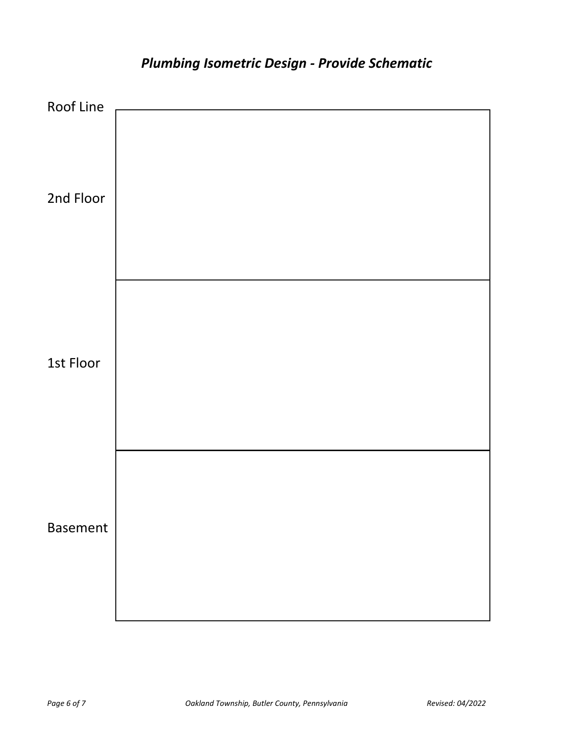

# *Plumbing Isometric Design - Provide Schematic*